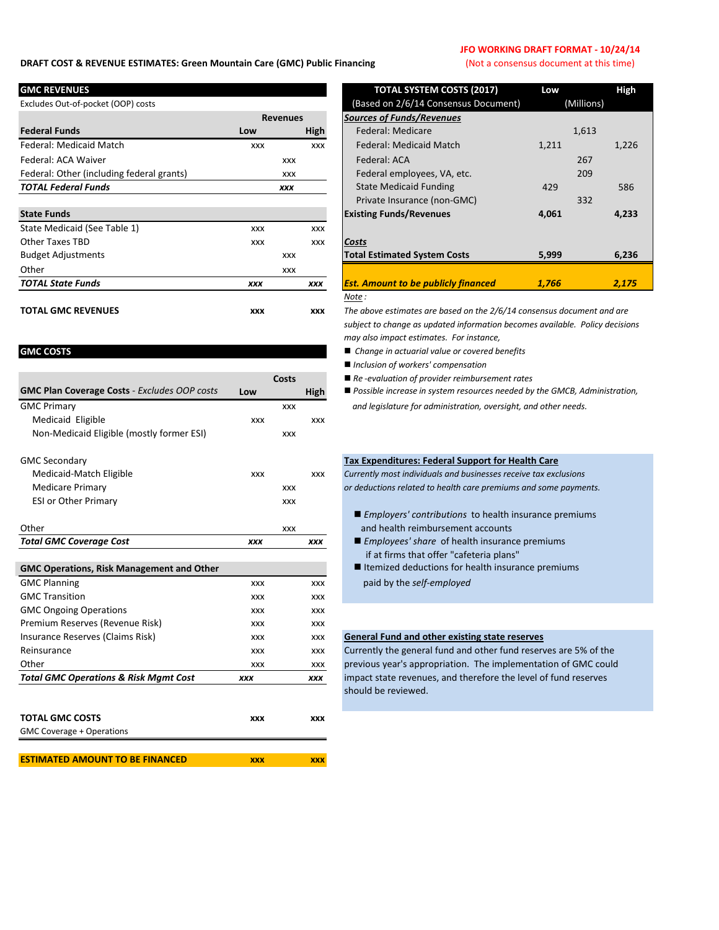## **DRAFT COST & REVENUE ESTIMATES: Green Mountain Care (GMC) Public Financing (Not a consensus document at this time)**

## **JFO WORKING DRAFT FORMAT - 10/24/14**

| <b>GMC REVENUES</b>                       |                 |            | <b>TOTAL SYSTEM COSTS (2017)</b>                              | Low     |
|-------------------------------------------|-----------------|------------|---------------------------------------------------------------|---------|
| Excludes Out-of-pocket (OOP) costs        |                 |            | (Based on 2/6/14 Consensus Document)                          | (Millio |
|                                           | <b>Revenues</b> |            | <b>Sources of Funds/Revenues</b>                              |         |
| <b>Federal Funds</b>                      | Low             | High       | Federal: Medicare                                             | 1,61    |
| Federal: Medicaid Match                   | <b>XXX</b>      | <b>XXX</b> | Federal: Medicaid Match                                       | 1,211   |
| Federal: ACA Waiver                       |                 | <b>XXX</b> | Federal: ACA                                                  | 267     |
| Federal: Other (including federal grants) |                 | <b>XXX</b> | Federal employees, VA, etc.                                   | 209     |
| <b>TOTAL Federal Funds</b>                |                 | <b>XXX</b> | <b>State Medicaid Funding</b>                                 | 429     |
|                                           |                 |            | Private Insurance (non-GMC)                                   | 332     |
| <b>State Funds</b>                        |                 |            | <b>Existing Funds/Revenues</b>                                | 4,061   |
| State Medicaid (See Table 1)              | <b>XXX</b>      | <b>XXX</b> |                                                               |         |
| <b>Other Taxes TBD</b>                    | <b>XXX</b>      | <b>XXX</b> | Costs                                                         |         |
| <b>Budget Adjustments</b>                 |                 | <b>XXX</b> | <b>Total Estimated System Costs</b>                           | 5,999   |
| Other                                     |                 | <b>XXX</b> |                                                               |         |
| <b>TOTAL State Funds</b>                  | <b>XXX</b>      | <b>XXX</b> | <b>Est. Amount to be publicly financed</b>                    | 1,766   |
|                                           |                 |            | <u>Note</u> :                                                 |         |
| <b>TOTAL GMC REVENUES</b>                 | <b>XXX</b>      | <b>XXX</b> | The above estimates are based on the 2/6/14 consensus documer |         |

| <b>GMC COSTS</b> |  |  |  |  |
|------------------|--|--|--|--|

|                                                     |            | <b>Costs</b> |             |
|-----------------------------------------------------|------------|--------------|-------------|
| <b>GMC Plan Coverage Costs - Excludes OOP costs</b> | Low        |              | <b>High</b> |
| <b>GMC Primary</b>                                  |            | <b>XXX</b>   |             |
| Medicaid Eligible                                   | <b>XXX</b> |              | <b>XXX</b>  |
| Non-Medicaid Eligible (mostly former ESI)           |            | <b>XXX</b>   |             |
| <b>GMC Secondary</b>                                |            |              |             |
| Medicaid-Match Eligible                             | <b>XXX</b> |              | <b>XXX</b>  |
| <b>Medicare Primary</b>                             |            | <b>XXX</b>   |             |
| <b>ESI or Other Primary</b>                         |            | <b>XXX</b>   |             |
| Other                                               |            | <b>XXX</b>   |             |
| <b>Total GMC Coverage Cost</b>                      | <b>XXX</b> |              | <b>XXX</b>  |
|                                                     |            |              |             |
| <b>GMC Operations, Risk Management and Other</b>    |            |              |             |
| <b>GMC Planning</b>                                 | <b>XXX</b> |              | XXX         |
| <b>GMC Transition</b>                               | <b>XXX</b> |              | <b>XXX</b>  |
| <b>GMC Ongoing Operations</b>                       | <b>XXX</b> |              | XXX         |
| Premium Reserves (Revenue Risk)                     | <b>XXX</b> |              | XXX         |
| Insurance Reserves (Claims Risk)                    | <b>XXX</b> |              | <b>XXX</b>  |
| Reinsurance                                         | <b>XXX</b> |              | XXX         |
| Other                                               | <b>XXX</b> |              | XXX         |
| <b>Total GMC Operations &amp; Risk Mgmt Cost</b>    | <b>XXX</b> |              | XXX         |
|                                                     |            |              |             |
| <b>TOTAL GMC COSTS</b>                              | xxx        |              | XXX         |
| <b>GMC Coverage + Operations</b>                    |            |              |             |
|                                                     |            |              |             |

| ESTIMATED AMOUNT TO BE FINANCED | XXX | xxx |
|---------------------------------|-----|-----|
|                                 |     |     |

**GMC REVENUES TOTAL SYSTEM COSTS (2017) Low High** (Based on 2/6/14 Consensus Document) (Millions) **Revenues** *Sources of Funds/Revenues* **Federal: Medicare** 1,613 Federal: Medicaid Match 1,211 1,226 Federal employees, VA, etc. 209 **The State Medicaid Funding 129 586** 586 Private Insurance (non-GMC) 332 **State Funds Existing Funds/Revenues 4,061 4,233** Budget Adjustments Xxx **Total Estimated System Costs 5,999 6,236** *TOTAL State Funds xxx xxx Est. Amount to be publicly financed 1,766 2,175 Note :*

The above estimates are based on the 2/6/14 consensus document and are *subject to change as updated information becomes available. Policy decisions may also impact estimates. For instance,* 

**E** Change in actuarial value or covered benefits

■ *Inclusion of workers' compensation* 

■ Re *-evaluation of provider reimbursement rates* 

■ Possible increase in system resources needed by the GMCB, Administration,

and legislature for administration, oversight, and other needs.

## **Tax Expenditures: Federal Support for Health Care**

 Medicaid-Match Eligible xxx xxx *Currently most individuals and businesses receive tax exclusions* or deductions related to health care premiums and some payments.

- *Employers' contributions* to health insurance premiums and health reimbursement accounts
- **Total GMC Employees' share of health insurance premiums** if at firms that offer "cafeteria plans"
- **GMC Operations** Itemized deductions for health insurance premiums x paid by the *self-employed*

## **INGUATH INSURGE RESERVIES INSURGE CONTENTS CONTENTS GENERAL GENERAL GENERAL GENERAL GENERAL GENERAL STATE GENERAL GENERAL GENERAL GENERAL GENERAL GENERAL GENERAL GENERAL GENERAL GENERAL GENERAL GENERAL GENERAL GENERAL GEN**

 $x \sim$  Currently the general fund and other fund reserves are 5% of the  $\frac{x}{x}$  previous year's appropriation. The implementation of GMC could *Impact state revenues, and therefore the level of fund reserves* should be reviewed.